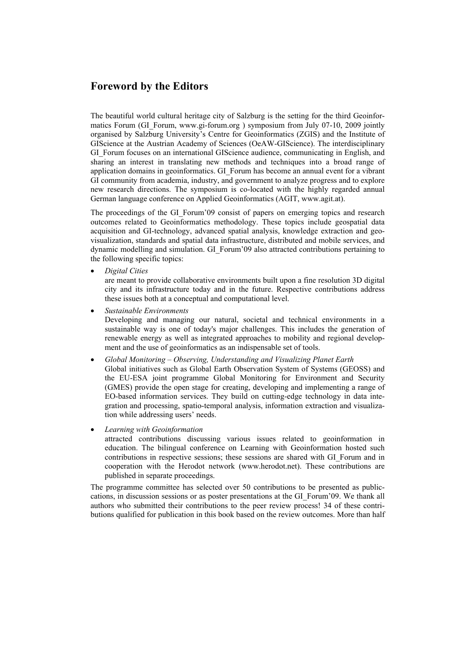## **Foreword by the Editors**

The beautiful world cultural heritage city of Salzburg is the setting for the third Geoinformatics Forum (GI\_Forum, www.gi-forum.org ) symposium from July 07-10, 2009 jointly organised by Salzburg University's Centre for Geoinformatics (ZGIS) and the Institute of GIScience at the Austrian Academy of Sciences (OeAW-GIScience). The interdisciplinary GI Forum focuses on an international GIScience audience, communicating in English, and sharing an interest in translating new methods and techniques into a broad range of application domains in geoinformatics. GI\_Forum has become an annual event for a vibrant GI community from academia, industry, and government to analyze progress and to explore new research directions. The symposium is co-located with the highly regarded annual German language conference on Applied Geoinformatics (AGIT, www.agit.at).

The proceedings of the GI\_Forum'09 consist of papers on emerging topics and research outcomes related to Geoinformatics methodology. These topics include geospatial data acquisition and GI-technology, advanced spatial analysis, knowledge extraction and geovisualization, standards and spatial data infrastructure, distributed and mobile services, and dynamic modelling and simulation. GI\_Forum'09 also attracted contributions pertaining to the following specific topics:

• *Digital Cities*

are meant to provide collaborative environments built upon a fine resolution 3D digital city and its infrastructure today and in the future. Respective contributions address these issues both at a conceptual and computational level.

• *Sustainable Environments*

Developing and managing our natural, societal and technical environments in a sustainable way is one of today's major challenges. This includes the generation of renewable energy as well as integrated approaches to mobility and regional development and the use of geoinformatics as an indispensable set of tools.

- *Global Monitoring Observing, Understanding and Visualizing Planet Earth* Global initiatives such as Global Earth Observation System of Systems (GEOSS) and the EU-ESA joint programme Global Monitoring for Environment and Security (GMES) provide the open stage for creating, developing and implementing a range of EO-based information services. They build on cutting-edge technology in data integration and processing, spatio-temporal analysis, information extraction and visualization while addressing users' needs.
- *Learning with Geoinformation* attracted contributions discussing various issues related to geoinformation in education. The bilingual conference on Learning with Geoinformation hosted such contributions in respective sessions; these sessions are shared with GI\_Forum and in cooperation with the Herodot network (www.herodot.net). These contributions are published in separate proceedings.

The programme committee has selected over 50 contributions to be presented as publiccations, in discussion sessions or as poster presentations at the GI\_Forum'09. We thank all authors who submitted their contributions to the peer review process! 34 of these contributions qualified for publication in this book based on the review outcomes. More than half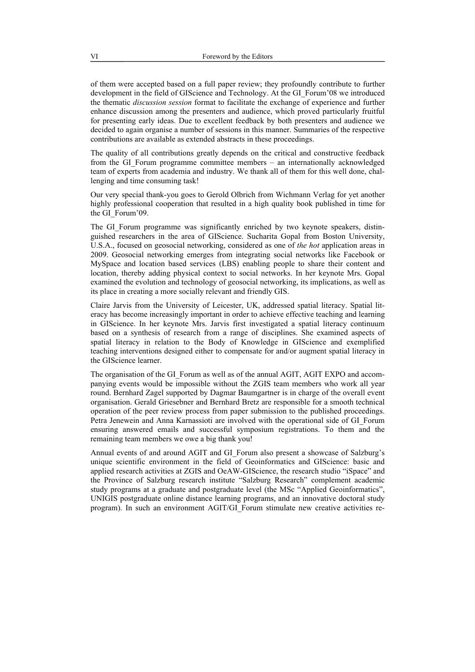of them were accepted based on a full paper review; they profoundly contribute to further development in the field of GIScience and Technology. At the GI\_Forum'08 we introduced the thematic *discussion session* format to facilitate the exchange of experience and further enhance discussion among the presenters and audience, which proved particularly fruitful for presenting early ideas. Due to excellent feedback by both presenters and audience we decided to again organise a number of sessions in this manner. Summaries of the respective contributions are available as extended abstracts in these proceedings.

The quality of all contributions greatly depends on the critical and constructive feedback from the GI\_Forum programme committee members – an internationally acknowledged team of experts from academia and industry. We thank all of them for this well done, challenging and time consuming task!

Our very special thank-you goes to Gerold Olbrich from Wichmann Verlag for yet another highly professional cooperation that resulted in a high quality book published in time for the GI\_Forum'09.

The GI Forum programme was significantly enriched by two keynote speakers, distinguished researchers in the area of GIScience. Sucharita Gopal from Boston University, U.S.A., focused on geosocial networking, considered as one of *the hot* application areas in 2009. Geosocial networking emerges from integrating social networks like Facebook or MySpace and location based services (LBS) enabling people to share their content and location, thereby adding physical context to social networks. In her keynote Mrs. Gopal examined the evolution and technology of geosocial networking, its implications, as well as its place in creating a more socially relevant and friendly GIS.

Claire Jarvis from the University of Leicester, UK, addressed spatial literacy. Spatial literacy has become increasingly important in order to achieve effective teaching and learning in GIScience. In her keynote Mrs. Jarvis first investigated a spatial literacy continuum based on a synthesis of research from a range of disciplines. She examined aspects of spatial literacy in relation to the Body of Knowledge in GIScience and exemplified teaching interventions designed either to compensate for and/or augment spatial literacy in the GIScience learner.

The organisation of the GI\_Forum as well as of the annual AGIT, AGIT EXPO and accompanying events would be impossible without the ZGIS team members who work all year round. Bernhard Zagel supported by Dagmar Baumgartner is in charge of the overall event organisation. Gerald Griesebner and Bernhard Bretz are responsible for a smooth technical operation of the peer review process from paper submission to the published proceedings. Petra Jenewein and Anna Karnassioti are involved with the operational side of GI\_Forum ensuring answered emails and successful symposium registrations. To them and the remaining team members we owe a big thank you!

Annual events of and around AGIT and GI\_Forum also present a showcase of Salzburg's unique scientific environment in the field of Geoinformatics and GIScience: basic and applied research activities at ZGIS and OeAW-GIScience, the research studio "iSpace" and the Province of Salzburg research institute "Salzburg Research" complement academic study programs at a graduate and postgraduate level (the MSc "Applied Geoinformatics", UNIGIS postgraduate online distance learning programs, and an innovative doctoral study program). In such an environment AGIT/GI\_Forum stimulate new creative activities re